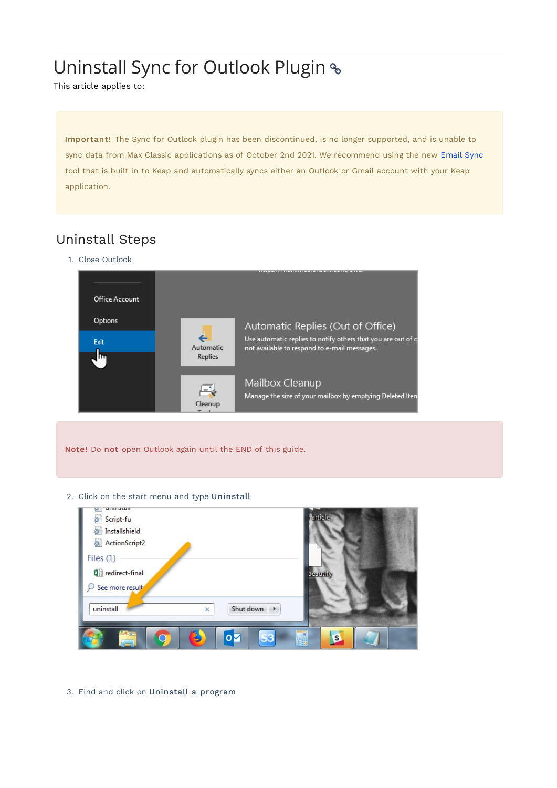## Uninstall Sync for Outlook Plugin

This article applies to:

Important! The Sync for Outlook plugin has been discontinued, is no longer supported, and is unable to sync data from Max Classic applications as of October 2nd 2021. We recommend using the new Email Sync tool that is built in to Keap and automatically syncs either an Outlook or Gmail account with your Keap application.

## Uninstall Steps

1. Close Outlook



Note! Do not open Outlook again until the END of this guide.

2. Click on the start menu and type Uninstall

| <b>MITH LOCATE</b><br>w<br>Script-fu<br>ö<br>Installshield<br>雄<br>€<br>ActionScript2<br>Files $(1)$<br>redirect-final<br>See more result | article<br>peautify           |
|-------------------------------------------------------------------------------------------------------------------------------------------|-------------------------------|
| uninstall<br>Shut down<br>Þ.<br>×                                                                                                         |                               |
| <b>Contract</b><br><b>S3</b><br>$\overline{\mathbf{o}}$<br>$=$                                                                            | $\theta$<br>$\mathbf{s}$<br>酾 |

3. Find and click on Uninstall a program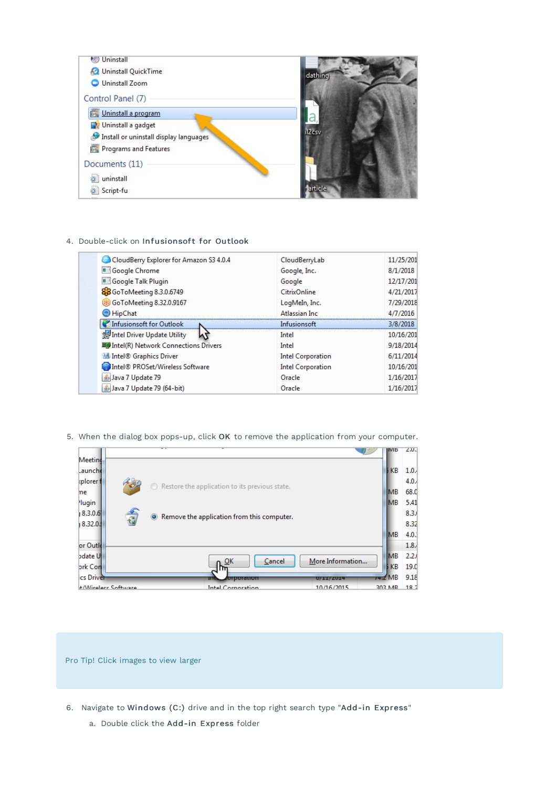

## 4. Double-click on Infusionsoft for Outlook

| CloudBerry Explorer for Amazon S3 4.0.4   | CloudBerryLab            | 11/25/201 |
|-------------------------------------------|--------------------------|-----------|
| Google Chrome                             | Google, Inc.             | 8/1/2018  |
| Google Talk Plugin                        | Google                   | 12/17/201 |
| 83 GoToMeeting 8.3.0.6749                 | <b>CitrixOnline</b>      | 4/21/2017 |
| <b>832.0.9167</b> GoToMeeting 8.32.0.9167 | LogMeIn, Inc.            | 7/29/2018 |
| HipChat                                   | Atlassian Inc.           | 4/7/2016  |
| Infusions of t for Outlook                | Infusionsoft             | 3/8/2018  |
| Intel Driver Update Utility               | Intel                    | 10/16/201 |
| ■ Intel(R) Network Connections Drivers    | Intel                    | 9/18/2014 |
| Intel® Graphics Driver                    | <b>Intel Corporation</b> | 6/11/2014 |
| Intel® PROSet/Wireless Software           | <b>Intel Corporation</b> | 10/16/201 |
| Lava 7 Update 79                          | Oracle                   | 1/16/2017 |
| Java 7 Update 79 (64-bit)                 | Oracle                   | 1/16/2017 |
|                                           |                          |           |

5. When the dialog box pops-up, click OK to remove the application from your computer.

|                                   |                                                           |                  | <b>INIB</b>       | 2.0              |
|-----------------------------------|-----------------------------------------------------------|------------------|-------------------|------------------|
| Meetind                           |                                                           |                  |                   |                  |
| Launche                           |                                                           |                  | <b>FKB</b>        | 1.0              |
| cplorer f                         |                                                           |                  |                   | 4.0              |
| me                                | $\bigcirc$ Restore the application to its previous state. |                  | <b>IMB</b>        | 68.              |
| <b>Hugin</b>                      |                                                           |                  | <b>IMB</b>        | 5.4              |
| 司<br> 8.3.0.6                     | • Remove the application from this computer.              |                  |                   | 8.3.             |
| 18.32.0.                          |                                                           |                  |                   | 8.3 <sub>2</sub> |
|                                   |                                                           |                  | <b>IMB</b>        | 4.0              |
| or Outle                          |                                                           |                  |                   | 1.8              |
| odate U                           | Cancel                                                    | More Information | <b>MB</b>         | 2.2              |
| <b>brk Con</b>                    | ւ≌ <sup>κ</sup><br>m                                      |                  | <b>FKB</b>        | 19.              |
| ics Driver                        | ma<br><b>опротаноп</b>                                    | 0/11/2014        | $74.2 \text{ MB}$ | 9.1              |
| $+ M$ <i>Alizabete Cafforning</i> | Intel Composition                                         | 10/16/2015       | <b>DAD ARE</b>    | 10.              |

Pro Tip! Click images to view larger

- 6. Navigate to Windows (C:) drive and in the top right search type "Add-in Express"
	- a. Double click the Add-in Express folder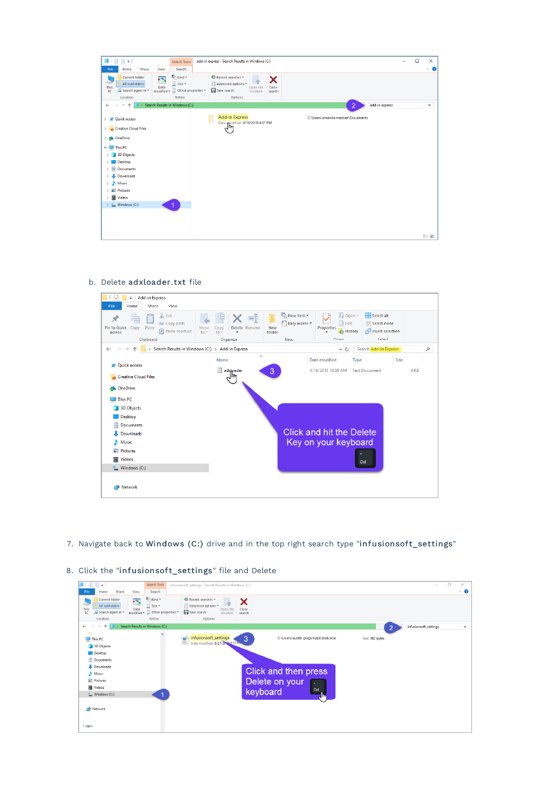| $\Box$                                                                                                                                                                                                                                                                                                       | add-in express - Search Results in Windows (C:)<br>Search Tools                                                                                                                                                   | $\Box$<br>$\overline{\phantom{0}}$ | $\times$            |
|--------------------------------------------------------------------------------------------------------------------------------------------------------------------------------------------------------------------------------------------------------------------------------------------------------------|-------------------------------------------------------------------------------------------------------------------------------------------------------------------------------------------------------------------|------------------------------------|---------------------|
| File<br>Home<br>Share<br>View                                                                                                                                                                                                                                                                                | Search                                                                                                                                                                                                            |                                    | $\hat{\phantom{a}}$ |
| <b>Current folder</b><br>Ŧ<br>-95<br>All subfolders<br>Date<br>This<br>Search again in *<br>PC<br>Location                                                                                                                                                                                                   | <b>C</b> <sub>D</sub> Kind -<br>Recent searches<br>×<br>Size -<br>Advanced options<br>Open file<br>Close<br>$model \cdot \Box$ Other properties $\cdot$<br>Save search<br>location<br>search<br>Refine<br>Options |                                    |                     |
| Search Results in Windows (C:)<br>个<br>$\leftarrow$<br>$\rightarrow$<br>$\omega$                                                                                                                                                                                                                             | $\overline{2}$<br>add-in express                                                                                                                                                                                  |                                    | ×                   |
| > str Quick access<br>S Creative Cloud Files<br>> 6 OneDrive<br>$\vee$ $\Box$ This PC<br>3D Objects<br><b>Desktop</b><br>$\angle$ $\triangleq$ Documents<br>Downloads<br>$\rightarrow$<br>$\rightarrow$ <b>h</b> Music<br>$\angle$ $\Box$ Pictures<br>$\angle$ <b>R</b> Videos<br>$\frac{1}{2}$ Windows (C:) | Add-in Express<br>C:\Users\amanda.madsen\Documents<br>Date modified: 4/16/2018 4:47 PM<br>$q_{\mu}$                                                                                                               |                                    |                     |
|                                                                                                                                                                                                                                                                                                              |                                                                                                                                                                                                                   |                                    | 旧国                  |

b. Delete adxloader.txt file



7. Navigate back to Windows (C:) drive and in the top right search type "infusionsoft\_settings"

|  | 8. Click the "infusionsoft_settings" file and Delete |  |  |  |
|--|------------------------------------------------------|--|--|--|
|  |                                                      |  |  |  |

| J<br>$\overline{\mathbf{v}}$                                                                                                                                            | Search Tools<br>infusionsoft_settings - Search Results in Windows (C:)                                                                                                                                                               |                       | $\Box$ | $\times$ |
|-------------------------------------------------------------------------------------------------------------------------------------------------------------------------|--------------------------------------------------------------------------------------------------------------------------------------------------------------------------------------------------------------------------------------|-----------------------|--------|----------|
| Share<br>View<br>File<br>Home                                                                                                                                           | Search                                                                                                                                                                                                                               |                       |        | $\sim$ 0 |
| <b>Current folder</b><br>m,<br>-202<br>All subfolders<br>Date<br>This<br>Search again in<br>PC<br>Location                                                              | $E_{\Box}$ Kind $\tau$<br>Recent searches *<br>X<br>Size -<br>Advanced options<br>Open file<br>Close<br>modified $\bullet$ $\Box$ Other properties $\bullet$<br>Save search<br>location<br>search<br>Refine<br>Options               |                       |        |          |
| $\longrightarrow$<br>个<br>$\leftarrow$<br>$\mathcal{L}$                                                                                                                 | Search Results in Windows (C:)<br>∩                                                                                                                                                                                                  | infusionsoft_settings |        | $\times$ |
| $\overline{\phantom{a}}$<br>This PC<br>3D Objects<br>Desktop<br>Documents<br>Downloads<br>Music<br>Pictures<br><b>權</b> Videos<br><sup>12</sup> Windows (C:)<br>Network | $\wedge$<br>infusionsoft_settings<br>$\overline{3}$<br>≝<br>C:\Users\austin.gregs\AppData\Local<br>Size: 982 bytes<br>Date modified: 8/27/2012 7-13 Pm<br>Click and then press<br>Delete on your<br>×<br>Del<br>keyboard<br>$A$ liny |                       |        |          |
| 1 item                                                                                                                                                                  |                                                                                                                                                                                                                                      |                       |        |          |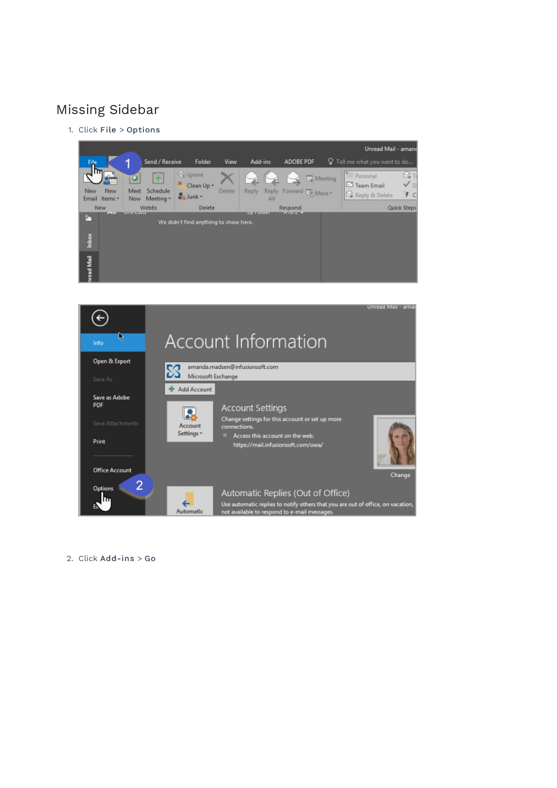## Missing Sidebar

1. Click File > Options





2. Click Add-ins > Go